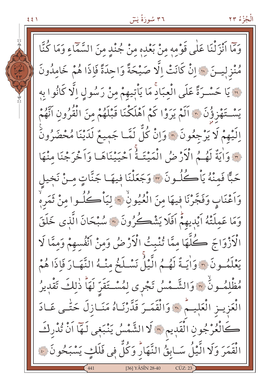۳٦ سُورَةُ لِسٓ

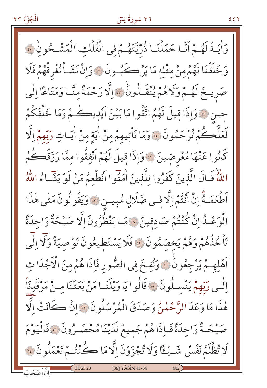الْجُزْءُ ٢٣

## ۳٦ سُورَةُ لِسٓ

وَاٰيَةٌ لَهُمْ أَنَّا حَمَلْنَـا ذُرِّيَّتَهُمْ فِي الْفُلْكِ الْمَشْحُونُ ۞ وَخَلَقْنَا لَهُمْ مِنْ مِثْلِهِ مَا يَرْكَبُ ونَ ؟ وَإِنْ نَشَـاْ نُغْرِقْهُمْ فَلَا صَرِيجَ لَهُمْ وَلَا هُمْ يُنْقَـذُونُ ۚ وَالَّا رَحْمَةً منَّـا وَمَتَاعًا إِلَٰى جين لِلْهِ وَإِذَا قِيلَ لَهُمُ اتَّقُوا مَا بَيْنَ أَيْدِيكُمْ وَمَا خَلْفَكُمْ لَعَلَّمَـٰ مُّرْحَمُونَ ۚ ۚ وَمَا تَأْتِيهِمْ مِنْ اٰيَةٍ مِنْ اٰيَاتٍ رَبِّهِمْ اِلَّا كَانُوا عَنْهَا مُعْرِضِينَ ۞ وَإِذَا قِيلَ لَهُمْ أَنْفِقُوا مِمَّا رَزَقَكُمُ اللَّهُ قَـالَ الَّذينَ كَفَرُوا للَّذينَ اٰمَنُوا اَنُطْعِمُ مَنْ لَوْ يَشَّاءُ اللَّهُ اَطْعَمَـهُ إِنْ اَنْتُمْ إِلَّا فِـى صَلَالٍ مُبِيـن ۞ وَيَقُولُونَ مَتْى هٰذَا الْوَعْـدُ إِنْ كُنْتُمْ صَادِقِينَ ۞ مَـا يَنْظُرُونَ إِلَّا صَيْحَةً وَاحِدَةً تَأْخُذُهُمْ وَهُمْ يَخِصِّمُونَ ۚ فَلَا يَسْتَطِيعُونَ تَوْصِيَةً وَلَا اِلْمَى اَهْلِهِـمْ يَرْجِعُونَ ۚ وَنُفِخَ فِي الصُّورِ فَإِذَا هُمْ مِنَ الْأَجْدَا ثِ اِلْسِي رَبِّهِمْ يَنْسِـلُونَ ۞ قَالُوا يَا وَيْلَنَـا مَنْ بَعَثَنَا مـنْ مَرْقَدِنَاْ هٰذَا مَا وَعَدَ الرَّحْمٰنُ وَصَدَقَ الْمُرْسَلُونَ \* إِنْ كَانَتْ الَّا صَيْحَةً وَاحِدَةً فَإِذَا هُمْ جَمِيعٌ لَدَيْنَا مُحْضَـرُونَ ﴾ فَالْيَوْمَ لَا تُظْلَمُ نَفْسٌ شَــْـــْـًا وَلَا تُجْزَوْنَ اِلَّا مَا كُــُنْتُـمْ تَعْمَلُو نَ فَ [36] YÂSÎN 41-54 انَّ اَصْحَابَ

٤٤٢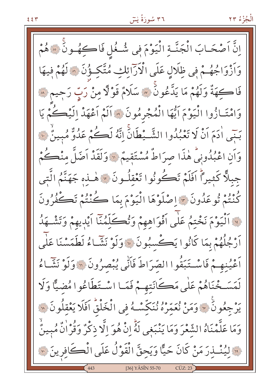اِنَّ اَصْحَـابَ الْجَنَّـةِ الْيَوْمَ فِي شُـغُل فَاكِهُـونَ ۞ هُمْ وَاَزْوَاجُهُمْ فِي ظِلَالٍ عَلَى الْأَرَائِكِ مُتَّكِؤُنَ ۞ لَهُمْ فِيهَا فَاڪهَةٌ وَلَهُمْ مَا يَدَّعُونَ ۞ سَلَامٌ قَوْلًا مِنْ رَبِّ رَحِيمٍ ۞ وَامْتَـازُوا الْيَوْمَ أَيُّهَا الْمُجْرِمُونَ ﴾ أَلَمْ أَعْهَدْ إِلَيْكُمْ يَا بَنِّي ادَمَ أَنْ لَا تَعْبُدُوا الشَّيْطَانَ إِنَّهُ لَكُمْ عَدُوٌّ مُبِينٌ لِ؟ وَأَنِ اعْبُدُونِيٌّ هٰذَا صرَاطٌ مُسْتَقِيمٌ ۞ وَلَقَدْ أَضَلَّ مِنْڪُمْ جبلًّا كَثِيراً اَفَلَمْ تَكُونُوا تَعْقِلُونَ ۞ هٰــٰذِهِ جَهَنَّمُ الَّتِي كُنْتُمْ تُوعَدُونَ ۞ إِصْلَوْهَا الْيَوْمَ بِمَا كُنْتُمْ تَكْفُرُونَ وَوَالْيَوْمَ نَخْتِمُ عَلَى اَفْوَاهِهِمْ وَتُكَلِّمُنَّا اَيْدِيهِمْ وَتَشْهَدُ اَرْجُلُهُمْ بِمَا كَانُوا يَڪْسِبُونَ ۞ وَلَوْ نَشَّاءُ لَطَمَسْنَا عَلَمٍ أَعْيُنِهِمْ فَاسْتَبَقُّوا الصَّرَاطَ فَأَنِّي يُبْصِرُونَ ۞ وَلَوْ نَشَّاءُ لَمَسَـخْنَاهُمْ عَلَى مَكَانَتِهِـمْ فَمَـا اسْـتَطَاعُوا مُضيًّا وَلَا يَرْجِعُونَ ۞ وَمَنْ نُعَمِّرُهُ نُنَكِّسْـهُ فِي الْخَلْقُ افَلَا يَعْقِلُونَ ۞ وَمَا عَلَّمْنَاهُ الشَّعْرَ وَمَا يَنْبَغِى لَهُّ إِنْ هُوَ اِلَّا ذِكْرٌ وَقُرْانٌ مُبِينٌ نَّةِ لِيُنْسِدِرَ مَنْ كَانَ حَيًّا وَيَحِقَّ الْقَوْلُ عَلَى الْكَافِرِينَ ۞ [36] YÂSÎN 55-70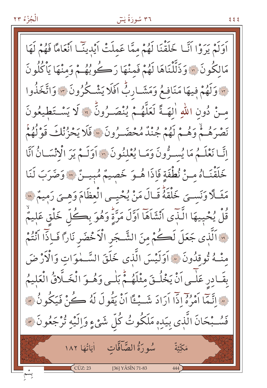#### ۳٦ سُورَةُ لِسَ

**{** { {

أَوَلَمْ يَرَوْا أَنَّـا خَلَقْنَا لَهُمْ مِمَّا عَملَتْ أَيْدِينَـا أَنْعَامًا فَهُمْ لَهَا مَالِكُونَ ۞ وَذَلَّلْنَاهَا لَهُمْ فَمِنْهَا رَكُوبُهُمْ وَمِنْهَا يَأْكُلُونَ مِ وَلَهُمْ فِيهَا مَنَافِعُ وَمَشَـارِبٌّ اَفَلَا يَشْـكُرُونَ \* وَاتَّخَذُوا مِنْ دُونِ اللَّهِ الِهَـةَ لَعَلَّهُـمْ يُنْصَـرُونَّ \* لَا يَسْـتَطْيعُونَ بَرْهِ بِهِ ۚ لَا وَمُ مَ يَوْمُ جُنْدٌ مُحْضَــرُونَ ۞ فَلَا يَحْزُنْكَ قَوْلُهُمْ إِنَّا نَعْلَـمُ مَا يُسـرُّونَ وَمَـا يُعْلِنُونَ \* أَوَلَـمْ يَرَ الْانْسَـانُ آنَّا خَلَقْنَـاهُ مِنْ نُطْفَةٍ فَإِذَا هُـوَ خَصِيمٌ مُبِيـنٌ « وَضَرَبَ لَنَا مَثَــلًا وَنَســيَ خَلْقَهُ قَــالَ مَنْ يُحْيــي الْعِظَامَ وَهِــيَ رَمِيمٌ ۞ قُلْ يُحْمِيهَا الَّذَى آنْشَاَهَا آوَّلَ مَرَّةٍ وَهُوَ بِكُلِّ خَلْقٍ عَلِيمٌ [" الَّذِي جَعَلَ لَكُمْ مِنَ الشَّجَرِ الْأَخْضَرِ نَارًا فَـاِذًّا اَنْتُمْ مِنْـهُ نُوقِدُونَ \* أَوَلَيْسَ الَّذِي خَلَقَ السَّـمْوَاتِ وَالْأَرْضَ بِقَـادِرِ عَلٰـى أَنْ يَخْلُـقَ مِثْلَهُـمْ بَلْـى وَهُـوَ الْخَـلَّاقُ الْعَليمُ فِي اتَّبَمَا أَمْرُهُ إِذَا أَرَادَ شَـبْـُـنَّا أَنْ يَقُولَ لَهُ كُنْ فَيَكُونُ مِيَّ فَسُــْبَحَانَ الَّذِي بِيَدِهِ مَلَكُوتُ كُلِّ شَيْءٍ وَالِّيْهِ تُرْجَعُونَ ۞ سُورَةُ الصَّآفَّاتِ لِيَاتُهَا ١٨٢ مَكَّنَّةٌ  $C\ddot{U}Z:23$ [36] YÂSÎN 71-83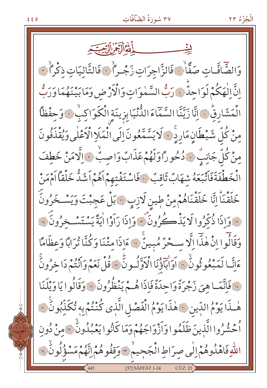## ٣٧ سُورَةُ الصَّآفَّاتِ

الْجُزْءُ ٢٣

وَالصَّافَّـاتِ صَفَّاۚ لِ فَالزَّاجرَاتِ زَجْـراً لِ فَالتَّالِيَاتِ ذِكْراً لَ انَّ الْهَكُمْ لَوَاحِدٌ فَيَرَبُّ السَّمٰوَاتِ وَالْأَرْضِ وَمَابَيْنَهُمَا وَرَبُّ الْمَشَارِقُ ﴾ إِنَّا زَيَّنَّا السَّمَّاءَ الدُّنْيَابِزِينَةِ الْكَوَاكِبُ ۞ وَحِفْظًاً مِنْ كُلِّ شَيْطَانٍ مَارِدٍ ۚ لَا يَسَّمَّعُونَ إِلَى الْمَلَإِ الْأَعْلٰى وَيُقْذَفُونَ مِنْ كُلِّ جَانِبٍ ۚ ۚ ذُخُوراً وَلَهُمْ عَذَابٌ وَاصِبُّ ۞ اِلَّا مَنْ خَطفَ الْخَطْفَةَفَاَتْبَعَهُ شهَابٌ ثَاقِبٌ ۚ فَاسْتَفْتِهِمْ اَهُمْ اَشَدُّ خَلْقاً اَمْمَنْ خَلَقْنَاً اِنَّا خَلَقْنَاهُمْ مِنْ طِينِ لَازِبٍ ۞ بَلْ عَجِبْتَ وَيَسْـخَرُونَ لَهَ وَإِذَا ذُكِّرُوا لَا يَذْكُرُونَ ۚ وَإِذَا رَاَوْا ايَةً يَسْتَسْخِرُونَ ۚ لَهَ وَقَالُوا إِنْ هٰذَا إِلَّا سَخْرٌ مُبِينٌ ۞ مَاذَا مِتْنَا وَكُنَّا تُرَابًا وَعِظَامًا عَانَّا لَمَبْعُوثُونُ ۚ وَالْبَاؤُنَا الْأَوَّلُونَّ ﴾ قُلْ نَعَمْ وَأَنْتُمْ دَا خِرُونَ لِهِ فَإِنَّمَا هِيَ زَجْرَةٌ وَاحِدَةٌ فَإِذَا هُـمْ يَنْظُرُونَ ۚ وَقَالُوا يَا وَيْلَنَا هٰذَا يَوْمُ الدِّينِ ﴾ هٰذَا يَوْمُ الْفَصْلِ الَّذِي كُنْتُمْ بِهِ تُكَذِّبُونَ ۞ أُحْشُرُوا الَّذِينَ ظَلَمُوا وَأَزْوَاجَهُمْ وَمَا كَانُوا يَعْبُدُونُ \* مِنْ دُونِ اللّٰهِ فَاهْدُوهُمْ إِلَٰى صِرَاطِ الْجَحِيمْ ﴾ وَقِفُوهُمْ إِنَّهُمْ مَسْؤُلُونُ ﴾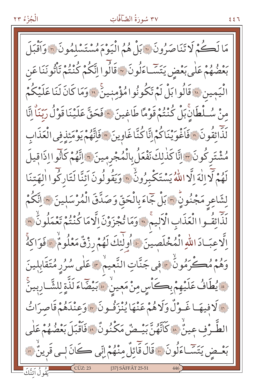# ٣٧ سُورَةُ الصَّآفَّاتِ

مَا لَكُمْ لَا تَنَاصَرُونَ ۞ بَلْ هُمُ الْيَوْمَ مُسْتَسْلَمُونَ ۞ وَأَقْبَلَ بَعْضُهُمْ عَلَى بَعْضِ يَتَسَّـاءَلُونَ ۞ قَالُوا اِنَّكُمْ كُنْتُمْ تَأْتُونَنَا عَن الْيَمِين «قَالُوابَلْ لَمْ تَكُونُوا مُؤْمِنِينَّ ﴿ وَمَا كَانَ لَنَا عَلَيْكُمْ منْ سُلْطَانِ بَلْ كُنْتُمْ قَوْمًا طَاغِينَ ۞ فَحَقَّ عَلَيْنَا قَوْلُ رَبِّنَاْ إِنَّا رَبِ<br>لَذَائِقُونَ ٢فَاَغْوَيْنَاكُمْ إِنَّا كُنَّاغَاوِينَ ٣فَانَّهُمْ يَوْمَئِذِفِي الْعَذَابِ مُشْتَرِكُونَ ٣ إِنَّا كَذٰلِكَ نَفْعَلُ بِالْمُجْرِمِينَ ٣ إِنَّهُمْ كَانُوا إِذَاقِيلَ لَهُمْ لَّاللَّهَ إِلَّا اللَّهُ يَسْتَكْبِرُونَّ \* وَيَقُولُونَ أَئِنَّا لَتَارِكُوا الْهَتِنَا لِشَاعِرِ مَجْنُونٍّ ﴾ بَلْ جَاءَ بِالْحَقِّ وَصَدَّقَ الْمُرْسَلِينَ ۞ اِنَّكُمْ لَذَّائِقُوا الْعَذَابِ الْأَلِيمُ \* وَمَا تُجْزَوْنَ الَّامَا كُنْتُمْ تَعْمَلُونٌ \* اِلَّا عِبَـادَ اللّهِ الْمُخْلَصِينَ \* أُولَٰئِكَ لَهُمْ رِزْقٌ مَعْلُومٌ \* فَوَاكِهُ وَهُمْ مُصَـٰٓرَمُونَٰ ۞ فِي جَنَّاتِ النَّعِيمُ ۞ عَلَى سُرُرِ مُتَقَابِلِينَ فَالْمُطَافُ عَلَيْهِمْ بِكَأْسٍ مِنْ مَعِينٌ فَابَيْضَاءَ لَذَّةٍ لِلشَّارِبِينَ لَّ لَا فِيهَا غَـوْلٌ وَلَاهُمْ عَنْهَا يُنْزَفُونَ \* وَعِنْدَهُمْ قَاصِرَاتُ الطَّـرْف عِينٌّ ۞ كَأَنَّهُنَّ بَيْـضٌ مَكْنُونٌ ۞ فَأَقْبَلَ بَعْضُهُمْ عَلَى بَعْـضِ يَتَسَّـاءَلُونَ ﴾ قَالَ قَائِلٌ مِنْهُمْ اِنِّي كَانَ لِـي قَرِينٌ ۞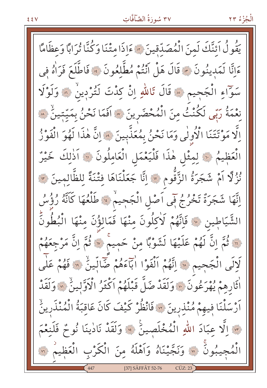## ٣٧ سُورَةُ الصَّآفَّاتِ

يَقُولُ أَئِنَّكَ لَمِنَ الْمُصَدِّقِينَ ۞ ءَإِذَا مِتْنَا وَكُنَّا تُرَابًا وَعِظَامًا عَانَّا لَمَدِينُونَ ۞ قَالَ هَلْ أَنْتُمْ مُطَّلِعُونَ ۞ فَاطَّلَعَ فَرَاٰهُ فِي سَوَّاءِ الْجَحِيمِ ﴾ قَالَ تَاللّهِ إِنْ كِذْتَ لَتُرْدِينُ ﴾ وَلَوْلَا نِعْمَةُ رَبِّي لَكُنْتُ مِنَ الْمُحْضَرِينَ ۞ افَمَا نَحْنُ بِمَيِّبَينُ ۞ اِلَّا مَوْتَتَنَا الْأُولٰى وَمَا نَحْنُ بِمُعَذَّبِينَ ۞ اِنَّ هٰذَا لَهُوَ الْفَوْزُ الْعَظِيمُ لَهُ لِمِثْلِ هٰذَا فَلْيَعْمَلِ الْعَامِلُونَ ۞ اَذٰلِكَ خَيْرٌ نُزُلًّا اَمْ شَجَرَةُ الزَّقُومِ ۞ إِنَّا جَعَلْنَاهَا فِتْنَةً لِلظَّالِمِينَ ۞ اِنَّهَا شَجَرَةٌ تَخْرُجُ فَى اَصْلِ الْجَحِيمْ ﴾ طَلْعُهَا كَانَّهُ رُؤُسُ الشَّيَاطِينِ ۞ فَإِنَّهُمْ لَأَكِلُونَ مِنْهَا فَمَالِؤُنَ مِنْهَا الْبُطُونَّ لَّ أَنَّمَ إِنَّ لَهُمْ عَلَيْهَا لَشَوْبًا مِنْ حَمِيمٌ \* ثُمَّ إِنَّ مَرْجِعَهُمْ لَإِلَى الْجَجِيمِ لِلَّهِ اتَّهُمْ اَلْفَوْا اٰبَاءَهُمْ ضَالِّينٌ ۚ ﴾ فَهُمْ عَلَى أَثَارِهِمْ يُهْرَعُونَ \* وَلَقَدْ ضَلَّ قَبْلَهُمْ أَكْثَرُ الْأَوَّلِينُ \* وَلَقَدْ اَرْسَلْنَا فِيهِمْ مُنْذِرِينَ ۞ فَانْظُرْ كَيْفَ كَانَ عَاقِبَةُ الْمُنْذَرِينُ مِ الَّا عِبَادَ اللهِ الْمُخْلَصِينَ ﴾ وَلَقَدْ نَادٰينَا نُوحٌ فَلَنعْمَ الْمُجِيبُونَ ۞ وَنَجَّيْنَاهُ وَاَهْلَهُ مِنَ الْكَرْبِ الْعَظِيمُ ۞ [37] SÂFFÂT 52-76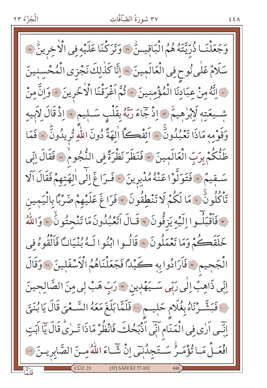## ٣٧ سُورَةُ الصَّآفَّاتِ

رَحِعَلْنَـا ذُرِّيَّتُهُ هُمُ الْبَاقِيـنُ \* وَتَرَكْنَا عَلَيْهِ فِي الْأَخِرِينُ \* سَلَامٌ عَلٰى نُوحٍ فِي الْعَالَمِينَ ۞ إِنَّا كَذٰلِكَ نَجْزِي الْمُحْسِنِينَ ۞ إِنَّهُ مِنْ عِبَادِنَا الْمُؤْمِنِينَ ۞ ثُمَّ اَغْرَقْنَا الْأَخَرِينَ ۞ وَإِنَّ مِنْ شَــيعَتِهِ لَإِبْرٰهِيمُ \* إِذْ جَاءَ رَبَّهُ بِقَلْبِ سَــلِيم \* إِذْ قَالَ لِأَبِيهِ وَقَوْمِهِ مَاذَا تَعْبُدُونَ \* اَئِفْكَ الِهَةَ دُونَ اللّهِ تُرِيدُونَ ۞ فَمَا ظَنُّكُمْ بِرَبِّ الْعَالَمِينَ \* فَنَظَرَ نَظْرَةً فِي النُّجُوم<sup>ِ</sup> \* فَقَالَ اِنِّي سَمِّيمٌ ﴾ فَتَوَلَّوْا عَنْهُ مُدْبِرِينَ ﴾ فَرَاغَ إِلَى الْهَتِهِمْ فَقَالَ آلَا تَأْكُلُونَّ ۞ مَا لَكُمْ لَا تَنْطِقُونَ ۞ فَرَاغَ عَلَيْهِمْ صَرْبًا بِالْيَمِينِ مِ ۖ فَأَقْبَلُـوا إِلَيْهِ يَزِقُّونَ ﴾ قَـالَ أَتَعْبُدُونَ مَا تَنْحِتُونُ ﴾ وَاللَّهُ خَلَقَصُكُمْ وَمَا تَعْمَلُونَ ۞ قَالُـوا ابْنُوا لَـهُ بُنْيَانـَّا فَالْقُوهُ في الْجَجِيمِ ۞ فَأَرَادُوا بِهِ كَيْدًا فَجَعَلْنَاهُمُ الْأَسْفَلِينَ ۞ وَقَالَ انِّي ذَاهِبٌ اِلٰي رَبِّي سَــيَهْدِينِ ۞ رَبِّ هَبْ لِي مِنَ الصَّالِحِينَ فَبَشَّرْنَاهُ بِغُلَامٍ حَلِيمٍ فَاللَّهَا بَلَغَ مَعَهُ السَّعْيَ قَالَ يَا بُنَيَّ إِنِّسِي اَرٰى فِي الْمَنَامِ اَنِّي اَدْبَحُكَ فَانْظُرْ مَاذَا تَرٰىُّ قَالَ يَاۤ اَبَتِ افْعَـلْ مَـا تُؤْمَـرُ سَـتَجِدُنٖـّى اِنْ شَّـاءَ اللّهُ مِـنَ الصَّابِرِيـنَ ١٠ [37] SÂFFÂT 77-102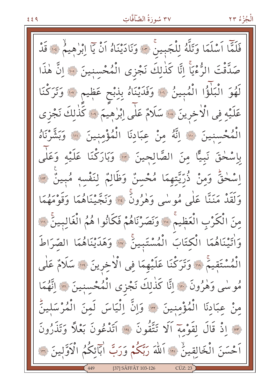## ٣٧ سُورَةُ الصَّآفَّاتِ

الْجُزْءُ ٢٣

فَلَمَّا اَسْلَمَا وَتَلَّهُ لِلْجَبِينَ \* وَنَادَيْنَاهُ اَنْ يَا اِبْرٰهِيمُ \* قَدْ صَدَّقْتَ الرُّءْيَاَ اِنَّا كَذٰلِكَ نَجْزى الْمُحْسِنِينَ ۞ اِنَّ هٰذَا لَهُوَ الْبَلْؤُا الْمُبِينُ ۞ وَفَدَيْنَاهُ بِذِبْحٍ عَظِيمٍ ۞ وَتَرَكْنَا عَلَيْهِ فِي الْأَخِرِينَ ۞ سَلَامٌ عَلَى اِبْرٰهِيمَ ۞ كَذٰلِكَ نَجْزى الْمُحْسِنِينَ ﴾ إِنَّهُ مِنْ عِبَادِنَا الْمُؤْمِنِينَ ۞ وَبَشَّرْنَاهُ بِاسْحٰقَ نَبِيًّا مِنَ الصَّالِحِينَ ۞ وَبَارَكْنَا عَلَيْهِ وَعَلَى اِسْحٰقِّ وَمِنْ ذُرِّيَّتِهِمَا مُحْسِنٌ وَظَالِمٌ لِنَفْسِهِ مُبِينٌ ٣ وَلَقَدْ مَنَنَّا عَلَى مُوسٰى وَهٰرُونَ ۚ ۞ وَنَجَّيْنَاهُمَا وَقَوْمَهُمَا مِنَ الْكَرْبِ الْعَظِيمْ ۞ وَنَصَرْنَاهُمْ فَكَانُوا هُمُ الْغَالِبِينَ ۞ وَاٰتَيْنَاهُمَا الْكِتَابَ الْمُسْتَبِينَ ۚ ﴾ وَهَدَيْنَاهُمَا الصِّرَاطَ الْمُسْتَقِيمٌ ۚ ۞ وَتَرَكْنَا عَلَيْهِمَا فِي الْأَخِرِينَ ۞ سَلَامٌ عَلَى مُوسْى وَهْرُونَ ﴾ [آنا كَذٰلِكَ نَجْزى الْمُحْسِنِينَ ۞ انَّهُمَا مِنْ عِبَادِنَا الْمُؤْمِنِينَ \* وَإِنَّ اِلْيَاسَ لَمنَ الْمُرْسَلِينِّ مِسَمَّا إِذْ قَالَ لَقَوْمَةَ أَلَا تَتَّقُونَ مِسَمَّا آَتَدْعُونَ بَعْلاً وَتَذَرُونَ اَحْسَنَ الْخَالِقِينُ ۚ ۚ اَللّٰهَ رَبَّكُمْ وَرَبَّ اٰبَآئِكُمُ الْآوَلِينَ ۞ [37] SÂFFÂT 103-126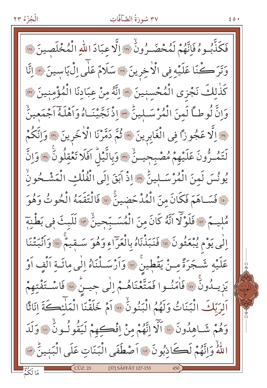## ٣٧ سُورَةُ الصَّآفَّاتِ

 $50.1$ 

فَكَذَّبُوهُ فَإِنَّهُمْ لَمُحْضَـرُونُ \* إِلَّا عِبَادَ اللهِ الْمُخْلَصِينَ \* وَتَرَكْنَا عَلَيْهِ فِي الْأَخِرِينَ ۞ سَلَامٌ عَلَى اِلْ يَاسِينَ ۞ اِنَّا كَذٰلِكَ نَجْزِي الْمُحْسِنِينَ ۞ انَّهُ مِنْ عِبَادِنَا الْمُؤْمِنِينَ ۞ وَإِنَّ لُوطاً لَمِنَ الْمُرْسَـلِينِّ ٣٠ إِذْ نَجَّيْنَـاهُ وَاَهْلَهُ اَجْمَعِينِّ م الَّا عَجُوزًا فِي الْغَابِرِينَ \* ثُمَّ دَمَّرْنَا الْاخَرِينَ \* وَاِتَكُمْ لَتَمُرُّونَ عَلَيْهِمْ مُصْبِحِينٌ \* وَبِالَّيْلُ افَلَا تَعْقِلُونَ \* وَاِنَّ يُونُسَ لَمِنَ الْمُرْسَـلِينِّ \* إِذْ اَبَقَ إِلَى الْفُلْكِ الْمَشْـحُونُ نِ فَسَاهَمَ فَكَانَ مِنَ الْمُدْحَضِينَ ۞ فَالْتَقَمَهُ الْحُوتُ وَهُوَ مُليمٌ \* فَلَوْلَا آنَّهُ كَانَ مِنَ الْمُسَبِّحِينُ \* لَلَبِثَ فِي بَطْنِهِ اِلَٰى يَوْمِ يُبْعَثُونَ ۚ ۚ فَنَبَذْنَاهُ بِالْعَرَاءِ وَهُوَ سَـقِيمٌ ۚ ۚ وَأَنْبَتْنَا عَلَيْهِ شَجَرَةً مِنْ يَقْطِينُ \* وَاَرْسَـلْنَاهُ إِلٰى مِائَـةِ اَلْفٍ اَوْ يَزِيلُونَ ۞ فَاٰمَنُوا فَمَتَّعْنَاهُمْ إِلٰى جِيسٌ ۞ فَاسْتَفْتِهِمْ اَلِرَبِّكَ الْبَنَاتُ وَلَهُمُ الْبَنُونُ \* أَمْ خَلَقْنَا الْمَلْئِكَةَ انَاثًا وَهُمْ شَـاهِدُونَ \* آلَّا اِنَّهُمْ مِنْ اِفْكِهِمْ لَيَقُولُونَ \* وَلَدَ للَّهُ وَإِنَّهُمْ لَكَانِبُونَ ۞ أَصْطَفَى الْبَنَاتِ عَلَى الْبَنِينِّ ۞ [37] SÂFFÂT 127-153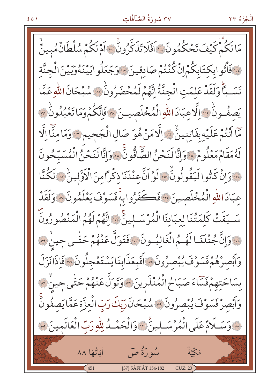#### ٣٧ سُورَةُ الصَّآقَّاتِ

مَالَكُمْ كَيْفَ تَحْكُمُونَ » اَفَلَا تَذَكَّرُونَ … اَمْ لَكُمْ سُلْطَانٌ مُبينٌ <u>ن فَأْتُوابِكِتَابِكُمْ إِنّْ كُنْتُمْ صَادِقِينَ ﴾ وَجَعَلُوابَيْنَهُ وَبَيْنَ الْجِنَّةِ</u> نَسَـبًا وَلَقَدْ عَلِمَتِ الْجِنَّةُ إِنَّهُمْ لَمُحْضَرُونٌ \* سُبْحَانَ اللّهِ عَمَّا يَصفُونُ وَالَّاعِبَادَ اللّهِ الْمُخْلَصِينَ وَافَاتِكُمْ وَمَا تَعْبُدُونُ وَ مَّا أَنْتُمْ عَلَيْهِ بِفَاتِنِينِّ " الَّاهَنْ هُوَ صَالِ الْجَحِيمِ " وَمَا مِنَّا اِلَّا لَهُ مَقَامٌ مَعْلُومٌ لِلَّهِ وَإِنَّا لَنَحْنُ الصَّاقُّونَ لِلَّهِ وَإِنَّا لَنَحْنُ الْمُسَبِّحُونَ حَدَّوَانْ كَانُوا لَيَقُولُونَّ مِنَّهَ لَوْ اَنَّ عِنْدَنَا ذِكْراً مِنَ الْأَوَّلِينَّ مِنَا لَكُنَّا عِبَادَ اللّهِ الْمُخْلَصِينَ ﴾ فَكَفَرُوا بِهِ فَسَوْفَ يَعْلَمُونَ ﴾ وَلَقَدْ سَّبَقَتْ كَلِمَتُنَا لِعِبَادِنَا الْمُرْسَـلِينَ ۞ إِنَّهُمْ لَهُمُ الْمَنْصُورُونَ مِنَّ وَإِنَّ جُنْدَنَـا لَهُمُ الْغَالِبُـونَ مِنْ قَنَوَلٌّ عَنْهُمْ حَتَّـى حِينٌ سَنَّ وَابْصِرْهُمْ فَسَوْفَ يُبْصِرُونَ ، اَفَبِعَذَابِنَا يَسْتَعْجِلُونَ ، وَاذَانَزَلَ بِسَاحَتِهِمْ فَسَاءَ صَبَاحُ الْمُنْذَرِينَ «وَتَوَلَّ عَنْهُمْ حَتَّى جِينٌ « وَأَبْصِرْ فَسَوْفَ يُبْصِرُونَ ۞ سُبْحَانَ رَبّكَ رَبّ الْعزَّة عَمَّا يَصفُونَ \* وَسَــلَامٌ عَلَى الْمُرْسَــلِينَ \* وَالْحَمْــدُ لِلّهِ رَبّ الْعَالَمِينَ \*\* مْدِينُ صِيَ أَيَاتُهَا ٨٨ مَكَّتَةٌ [37] SÂFFÂT 154-182  $CUZ:23$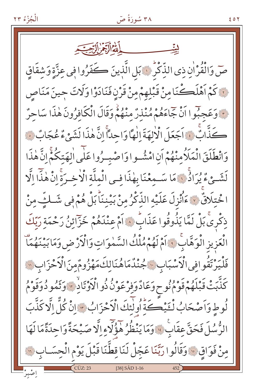

۶ ٥ ٢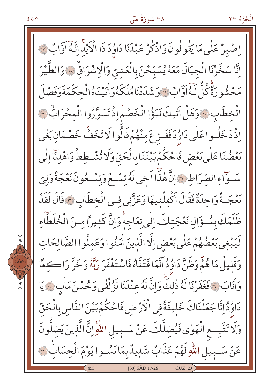

اصْبِرْ عَلٰى مَا يَقُولُونَ وَاذْكُرْ عَبْدَنَا دَاوُدَ ذَا الْإِيْدِ اِنَّهُ اَوَّابٌ ۞ اِنَّا سَخَّرْنَا الْجِبَالَ مَعَهُ يُسَبِّحْنَ بِالْعَشِيِّ وَالْإِشْرَاقِ ۚ ﴾ وَالطَّيْرَ مَحْشُو رَةً كُلّْ لَـهُ اَوَّابٌ ۚ وَشَدَدْنَامُلْكَهُوَاٰتَيْنَاهُ الْحِكْمَةَوَفَصْلَ الْخطَابِ ٢٠ وَهَلْ آتيكَ نَبَؤُا الْخَصْمِ إِذْ تَسَوَّرُوا الْمحْرَابِّ 7 اِذْ دَخَلُـواعَلٰى دَاوُدَفَفَــز عَ مِنْهُمْ قَالُوا لَا تَخَفُّ خَصْمَانِ بَغٰى بَعْضُنَا عَلَى بَعْضٍ فَاحْكُمْ بَيْنَنَا بِالْحَقِّ وَلَا تُشْطِطْ وَاهْدَنَا إِلَى سَوَّاءِ الصِّرَاطِ ۞ إِنَّ هٰذَّا اَخِي لَهُ تِسْعُ وَتِسْعُونَ نَعْجَةً وَلِيَ نَعْجَـةٌ وَاحِدَةٌ فَقَالَ اَكْفِلْنِيهَا وَعَزَّنِي فِي الْخِطَابِ ٣ قَالَ لَقَدْ ظَلَمَكَ بِسُوَّالٍ نَعْجَتِكَ الْمِي نِعَاجِهِ وَإِنَّ كَثِيراً مِنَ الْخُلَطَاءِ لَيَبْغِي بَعْضُهُمْ عَلَى بَعْضِ اِلَّا الَّذِينَ اٰمَنُوا وَعَمِلُوا الصَّالِحَاتِ وَقَلِيلٌ مَا هُمَّ وَظَنَّ دَاوُدُ أَنَّمَا فَتَنَّاهُ فَاسْتَغْفَرَ رَبَّهُ وَخَرَّ رَا كَعًا وَآَنَابَ لَا فَغَفَرْنَا لَهُ ذٰلِكَ وَإِنَّ لَهُ عِنْدَنَا لَزُلْفَى وَحُسْنَ مَاٰبٍ لَا يَا دَاوُدُ إِنَّا جَعَلْنَاكَ خَلِيفَةً فِي الْأَرْضِ فَاحْكُمْ بَيْنَ النَّاسِ بِالْحَقِّ وَلَا تَتَّبِعِ الْهَوٰى فَيُضِلَّكَ عَنْ سَـبِيلِ اللَّهِ إِنَّ الَّذِينَ يَضِلُّونَ عَنْ سَـبِيلِ اللَّهِ لَهُمْ عَذَابٌ شَبِيدٌ بِمَا نَسُـوا يَوْمَ الْحِسَابِ ۞ [38] SÂD 17-26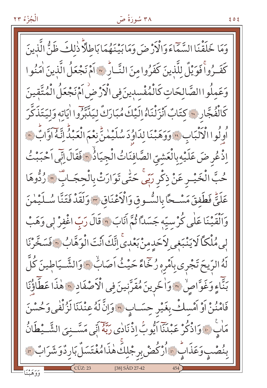۳۸ سُورَةُ صَ

وَمَا خَلَقْنَا السَّمَاءَ وَالْأَرْضَ وَمَابَيْنَهُمَا بَاطِلَّاً ذٰلِكَ ظَنُّ الَّذِينَ كَفَـرُواْ فَوَيْلٌ لِلَّذِينَ كَفَرُوا مِنَ النَّـارُّ ؟ أَمْ نَجْعَلُ الَّذِينَ اٰمَنُوا وَعَمِلُواالصَّالِحَاتِ كَالْمُفْسدِينَ فِي الْأَرْضُ اَمْ نَجْعَلُ الْمُتَّقِينَ كَانْفُجَّارِ ۞ كِتَابٌ أَنْزَلْنَاهُ إِلَيْكَ مُبَارَكٌ لِيَدَّبَّرُوا اٰيَاته وَلِيَتَذَكَّرَ أُوِلُوا الْأَلْبَابِ \* وَوَهَبْنَا لِدَاوُدَ سُلَيْمٰنِّ نِعْمَ الْعَبْدُّ إِنَّهُ اوَّابٌ \* إِذْ عُرِ ضَ عَلَيْهِ بِالْعَشِيِّ الصَّافِنَاتُ الْجِيَاذُ ٣ فَقَالَ إِنِّي اَحْبَبْتُ حُبَّ الْخَيْـرِ عَنْ ذِكْرِ رَبِّي حَتّٰى تَوَارَتْ بِالْحِجَـابِ ۞ رُدُّوهَا عَلَيٌّ فَطَفِقَ مَسْحًا بِالسُّوقِ وَالْأَعْنَاقِ ٣ وَلَقَدْ فَتَنَّا سُلَيْمٰنَ وَٱلْقَيْنَا عَلَٰى كُرْسِيّهِ جَسَدًا ثُمَّ آنَابَ ۞ قَالَ رَبّ اغْفِرْ لِي وَهَبْ لِي مُلْكَأَ لَا يَنْبَغِي لِأَحَدِمِنْ بَعْدِيَّ اِنَّكَ أَنْتَ الْوَهَّابُ ؟ فَسَخَّرْنَا لَهُ الرّيحَ تَجْرِي بِأَمْرِهِ رُخِّاءً حَيْثُ أَصَابٌ ﴿ وَالشَّيَاطِينَ كُلَّ بَنَّاءٍ وَغَوَّاصٍ \* وَاخْرِينَ مُقَرَّبِينَ فِي الْأَصْفَادِ \* هٰذَا عَطَّأَؤُنَا فَامْنُنْ أَوْ أَمْسِكْ بِغَيْرِ حِسَـابٍ ﴾ وَإِنَّ لَهُ عِنْدَنَا لَزُلْفٰي وَحُسْنَ مَاٰبٌ ۚ وَاذْكُرْ عَبْدَنَاۤ اَيُّوبُ اِذْنَادٰى رَبَّهُۚ اَنِّي مَسَّـنِيَ الشَّـيْطَانُ بِنُصْبِ وَعَذَابٌ ۞ أُرْكُضْ بِرِجْلِكَ هٰذَامُغْتَسَلٌ بَارِدٌوَشَرَابٌ ۞ [38] SÂD 27-42

ع ہ ع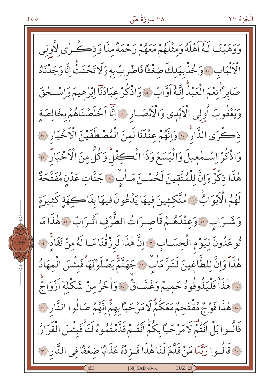ا لَـهُ أَهْلَهُ وَمِثْلَهُمْ مَعَهُمْ رَحْمَةً مِنَّا وَذِكْرِي لِأُولِي الْأَلْبَابِ \* وَحُذْبِيَدِكَ صَغْثًا فَاصْرِبْ بِهِ وَلَا تَحْنَثَّ إِنَّا وَجَدْنَاهُ صَابِراً نِعْمَ الْعَبْدُ اتَّهُ اَوَّابٌ \* وَاذْكُرْ عِبَادَنَآ اِبْرٰهِيمَ وَاِسْـحٰقَ وَيَعْقُوبَ أُولِي الْأَيْدِي وَالْأَبْصَـارِ ۞ إِنَّا اَخْلَصْنَاهُمْ بِخَالِصَةِ ذكُرَى الدَّارُ ۞ وَإِنَّهُمْ عِنْدَنَا لَمِنَ الْمُصْطَفَيْنَ الْأَخْيَارِ ۞ وَاذْكُرْ إِسْمْعِيلَ وَالْيَسَعَ وَذَا الْكِفْلُ وَكُلٌّ مِنَ الْأَخْيَارُ ۞ هٰذَا ذِكْرٌ وَإِنَّ لِلْمُتَّقِينَ لَحُسْـنَ مَـاٰبٌ \* جَنَّاتٍ عَدْنِ مُفَتَّحَةً لَهُمُ الْأَبْوَابُ \* هُتَّكِئِينَ فِيهَا يَدْعُونَ فِيهَا بِفَاكِهَةٍ كَثِيرَةٍ وَشَرَابٍ ﴾ وَعِنْدَهُـمْ قَاصِرَاتُ الطَّرْفِ أَتْـرَابٌ ﴾ هٰذَا مَا تُوعَدُونَ لِيَوْمِ الْحِسَـابِ ﴾ إِنَّ هٰذَا لَرِزْقُنَا مَـا لَهُ مِنْ نَفَادٍ ﴾ هٰذَاً وَإِنَّ لِلطَّاغِينَ لَشَرَّ مَابٌ \* جَهَنَّمَ يَصْلَوْنَهَا فَبِئْسَ الْمهَادُ نَّ هٰذَاْ فَلْيَذُوقُوهُ حَمِيمٌ وَغَسَّـاقٌ \* وَاخَرُ مِنْ شَكْلِهَ أَزْوَاجٌ ﴾ هٰذَا فَوْجٌ مُقْتَحِمٌ مَعَكُمْ لَا مَرْ حَبًّا بِهِمْ اِنَّهُمْ صَالُوا النَّارِ ﴾ قَالُـوا بَلْ أَنْتُمْ لَا مَرْحَبًا بِكُمُّ أَنْتُـمْ قَدَّهْ يُدُوهُ لَنَا فَبِئْسَ الْقَرَارُ .. قَالُــوا رَبَّنَا مَنْ قَدَّمَ لَنَا هٰذَا فَــزِدْهُ عَذَابًا ضغْفًا فِي النَّارِ لِهِ [38] SÂD 43-61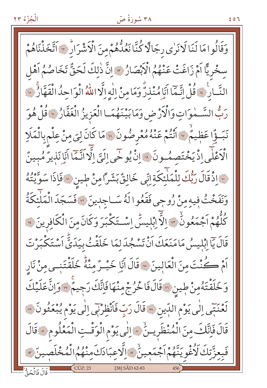وَقَالُوامَا لَنَا لَانَرٰى رِجَالًا كُنَّا نَعُدُّهُمْ مِنَ الْأَشْرَارَ " اَتَّخَذْنَاهُمْ سخْرِيًّا اَمْ زَاغَتْ عَنْهُمُ الْأَبْصَارُ ﴾ إِنَّ ذٰلِكَ لَحَقٌّ تَخَاصُمُ اَهْل النَّبَارِ ، قُلْ إِنَّمَا أَنَا مُنْذِرٌ وَمَا مِنْ إِلٰهِ إِلَّا اللّهُ الْوَاحِدُ الْقَهَّارُ . رَبُّ السَّـمٰوَاتِ وَالْكَرْضِ وَمَابَيْنَهُمَـا الْعَزِيزُ الْغَفَّارُ ﴾ قُلْ هُوَ نَبَــؤٌا عَظِيمٌ \* اَنْتُمْ عَنْهُ مُعْرِضُونَ \* مَا كَانَ لِيَ مِنْ عِلْمِ بِالْمَلَا الْأَعْلَى إِذْ يَخْتَصِمُونَ \* إِنْ يُوحَى إِلَيَّ إِلَّا أَنَّمَا أَنَا نَذِيرٌ مُبِينٌ مَ إِذْقَالَ رَبُّكَ لِلْمَلْئِكَةِ إِنِّي خَالِقٌ بَشَرَّامِنْ طِينِ «فَإِذَا سَوَّيْتُهُ وَنَفَخْتُ فِيهِ مِنْ رُوحِي فَقَعُوا لَهُ سَـاجِدِينَ ۞ فَسَجَدَ الْمَلْئِكَةُ كُلُّهُمْ اَجْمَعُونَٰ \* إِلاَّ إِبْلِيسٌ إِسْتَكْبَرَ وَكَانَ مِنَ الْكَافِرِينَ \* قَالَ يَاۤ اِبْلِيسُ مَامَنَعَكَ اَنْ تَسْجُدَ لِمَا خَلَقْتُ بِيَدَيٍّّ اَسْتَكْبَرْ تَ اَمْ كُنْتَ مِنَ الْعَالِينَ ﴾ قَالَ أَيَا خَيْـرٌ مِنْهُ خَلَقْتَنِـي مِنْ نَارِ وَخَلَقْتَهُمِنْ طِينِ ٧٠قَالَ فَاخْرُجْ مِنْهَا فَإِنَّكَ رَجِيمٌ ٧٠ وَإِنَّ عَلَيْكَ لَعْنَتِي اِلٰى يَوْمِ اللَّذِينَ ﴾ قَالَ رَبِّ فَاَنْظِرْنِي اِلٰى يَوْمِ يُبْعَثُونَ ﴾ قَالَ فَإِنَّكَ مِنَ الْمُنْظَرِينَ ۚ ﴾ إِلٰي يَوْمِ الْوَقْتِ الْمَعْلُومِ ﴾ قَالَ فَبِعِزَّتِكَ لَأُغْوِيَنَّهُمْ اَجْمَعِينِّ ۞ الَّاعِبَادَكَ مِنْهُمُ الْمُخْلَصِبِ [38] SÂD 62-83 قَالَ فَالْحَقُّ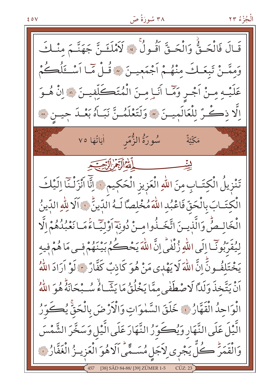$20V$ 

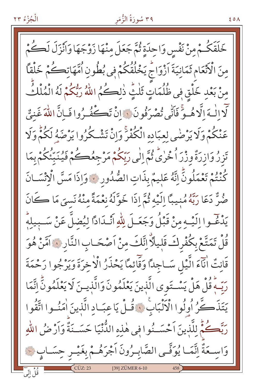#### ۳۹ سُورَةُ الزُّمَر

٤٥٨

خَلَقَكُمْ مِنْ نَفْسٍ وَاحِدَةٍ ثُمَّ جَعَلَ مِنْهَا زَوْجَهَا وَاَنْزَلَ لَكُمْ مِنَ الْأَنْعَامِ ثَمَانِيَةَ اَزْوَاجُ يَخْلُقُكُمْ فِي بُطُونِ اُمَّهَاتِكُمْ خَلْقاً مِنْ بَعْدِ خَلْقٍ فِي ظُلُمَاتٍ ثَلْثٍ ذٰلِكُمُ اللَّهُ رَبُّكُمْ لَهُ الْمُلْكُ لَّا إِلَٰهَ إِلَّا هُـوٌّ فَأَنِّي تُصْرَفُونَ ۚ إِنْ تَكْفُـرُوا فَـإِنَّ اللَّهَ غَنيٌّ عَنْكُمْ وَلَا يَرْضَى لِعِبَادِهِ الْكُفْرَ وَإِنْ تَشْكُرُوا يَرْضَهُ لَكُمّْ وَلَا تَزِرُ وَازِرَةٌ وزْرَ اُحْرٰىٌّ ثُمَّ إِلَى رَبِّكُمْ مَرْجِعُكُمْ فَيُنَبِّئُكُمْ بِمَا كُنْتُمْ تَعْمَلُونَّ اِتَّهُ عَلِيمٌ بِذَاتِ الصُّدُورِ ﴾ وَإِذَا مَسَّ الْإِنْسَـانَ صُنٌّ دَعَا رَبَّهُ مُنيبًا إِلَيْهِ ثُمَّ إِذَا خَوَّلَهُ نِعْمَةً مِنْهُ نَسِيَ مَا كَانَ يَدْغُوا الَيْهِ مِنْ قَبْلُ وَجَعَـلَ لِلّٰهِ أَنْـدَادًا لِيُضلَّ عَنْ سَـبِيلِهِۗ قُلْ تَمَتَّعْ بِكُفْرِكَ قَلِيلًا انَّكَ مِنْ اَصْحَـابِ النَّارِ ۞ امَّنْ هُوَ قَانِتٌ انَّاءَ الَّيْلِ سَـاجِدًا وَقَائِمًا يَحْذَرُ الْاخرَةَ وَيَرْجُوا رَحْمَةَ رَبِّــهِ قُلْ هَلْ يَسْــتَوِي الَّذِينَ يَعْلَمُونَ وَالَّذِيــنَ لَا يَعْلَمُونَّ اِنَّمَا يَتَذَكَّرُ أُولُوا الْأَنْبَابِ ﴾ قُـلْ يَا عِبَـادِ الَّذِينَ اٰمَنُـوا اتَّقُوا رَبَّصُكُمُّ لِلَّذِينَ اَحْسَــنُوا فِي هٰذِهِ الدُّنْيَا حَسَــنَةٌ وَاَرْضُ اللَّهِ وَاسِعَةٌ اِنَّمَا يُوَفَّـى الصَّابِـرُونَ اَجْرَهُـمْ بِغَيْـرِ حِسَـابٍ ۞ وو پر<br>قل اٽي [39] ZÜMER 6-10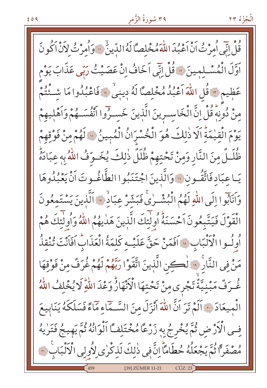قُلْ إِنِّي أُمِرْتُ أَنْ أَعْبُدَ اللَّهَ مُخْلِصًّا لَهُ الدِّينُ ۚ ۚ وَأُمِرْتُ لِأَنْ أَكُونَ اَوَّلَ الْمُسْـلِمِينَ \* قُلْ اِنِّي اَخَافُ اِنْ عَصَيْتُ رَبِّي عَذَابَ يَوْم عَظِيمٍ \* قُلِ اللَّهَ اَعْبُدُ مُخْلِصًا لَهُ دِينِيٌ \* فَاعْبُدُوا مَا شَئْتُمْ مِنْ دُونِهِ قُلْ إِنَّ الْخَاسِـرِينَ الَّذِينَ خَسِـرُوا انْفُسَـهُمْ وَاَهْلِيهِمْ يَوْمَ الْقِيْمَةَ اَلَا ذٰلِكَ هُوَ الْخُسْرَانُ الْمُبِينُ ﴾ لَهُمْ مِنْ فَوْقِهِمْ ظُلَـلٌ مِنَ النَّارِ وَمِنْ تَحْتِهِمْ ظُلَلٌ ذٰلِكَ يُخَـوِّفُ اللَّهُ به عبَادَهُّ يَـاعِبَادِ فَاتَّقُـونِ ۞ وَالَّذِينَ اجْتَنَبُوا الطَّاغُـوتَ اَنْ يَعْبُدُوهَا وَاَنَابُوا إِلَى اللَّهِ لَهُمُ الْبُشْرٰىِّ فَبَشَّرْ عِبَادٌ \* اَلَّذِينَ يَسْتَمِعُونَ الْقَوْلَ فَيَتَّبِعُونَ اَحْسَنَهُ أُولَٰٓئِكَ الَّذِينَ هَدٰيهُمُ اللَّهُ وَأُولٰٓئِكَ هُمْ أُولُسوا الْأَلْبَابِ « أَفَمَنْ حَقَّ عَلَيْهِ كَلَّمَةُ الْعَذَابِ أَفَأَنْتَ تُنْقِذُ مَنْ فِي النَّارِ ۚ ۚ لِكِينِ الَّذِينَ اتَّقَوْا رَبَّهُمْ لَهُمْ غُرَفٌ مِنْ فَوْقِهَا غُرَفٌ مَبْنِيَّةٌ تَجْرى مِنْ تَحْتِهَا الْأَنْهَارُّ وَعْدَ اللَّهِ لَا يُخْلِفُ اللَّهُ الْمِيعَادَ ﴾ اَلَمْ تَرَ اَنَّ اللَّهَ اَنْزَلَ مِنَ السَّـمَاءِ مَاءً فَسَلَكَهُ يَنَابِيعَ فِي الْأَرْضِ ثُمَّ يُخْرِجُ بِهِ زَرْعًا مُخْتَلِفًا اَلْوَانُهُ ثُمَّ يَهِيجُ فَتَرٰيهُ مُصْفَرًا ثُمَّ يَجْعَلُهُ حُطَامًا إِنَّ فِي ذٰلِكَ لَذِكْرٰى لِأُولِي الْأَلْبَابِ (٣ [39] ZÜMER 11-21